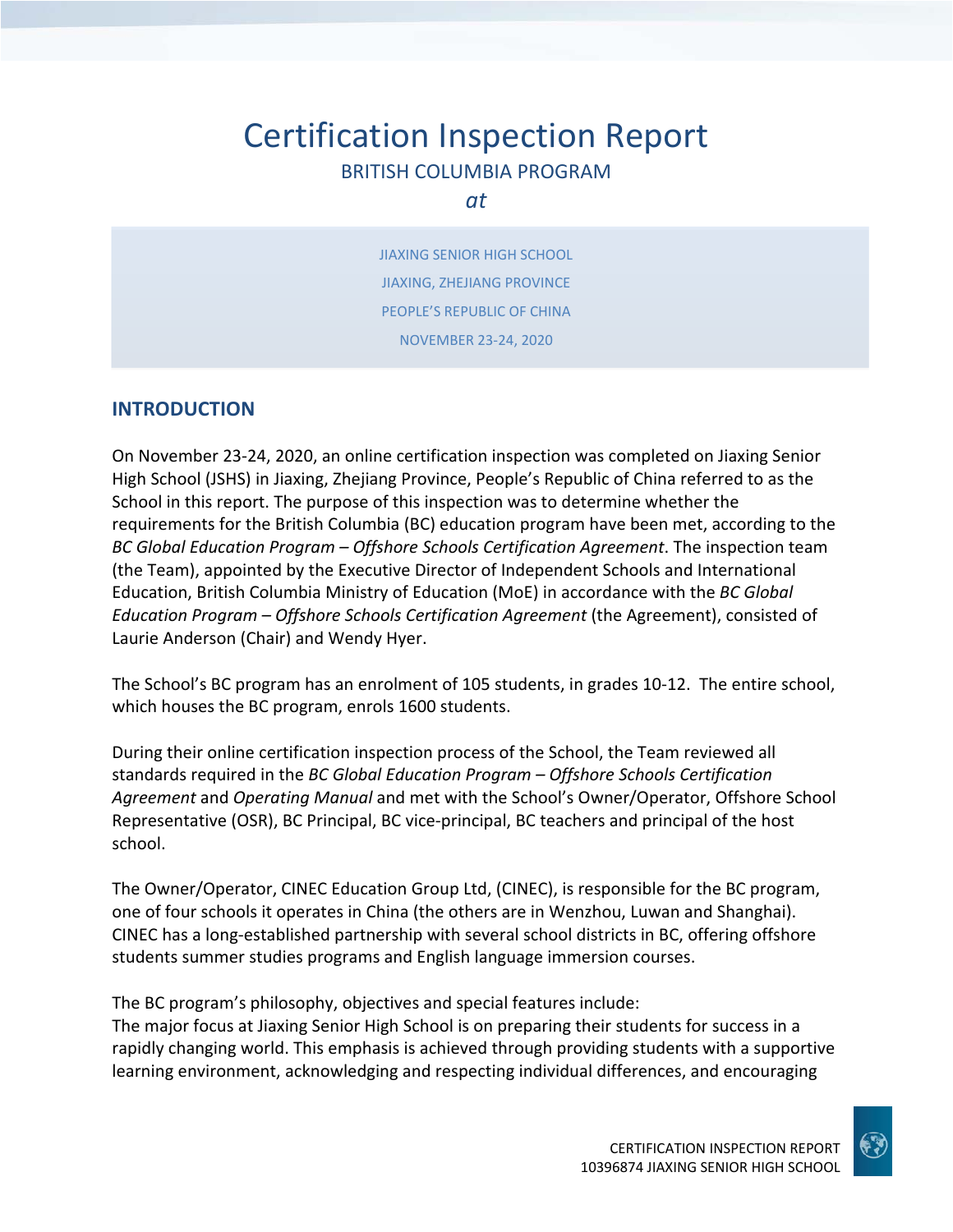# Certification Inspection Report BRITISH COLUMBIA PROGRAM

#### *at*

JIAXING SENIOR HIGH SCHOOL JIAXING, ZHEJIANG PROVINCE PEOPLE'S REPUBLIC OF CHINA NOVEMBER 23‐24, 2020

### **INTRODUCTION**

On November 23‐24, 2020, an online certification inspection was completed on Jiaxing Senior High School (JSHS) in Jiaxing, Zhejiang Province, People's Republic of China referred to as the School in this report. The purpose of this inspection was to determine whether the requirements for the British Columbia (BC) education program have been met, according to the *BC Global Education Program – Offshore Schools Certification Agreement*. The inspection team (the Team), appointed by the Executive Director of Independent Schools and International Education, British Columbia Ministry of Education (MoE) in accordance with the *BC Global Education Program – Offshore Schools Certification Agreement* (the Agreement), consisted of Laurie Anderson (Chair) and Wendy Hyer.

The School's BC program has an enrolment of 105 students, in grades 10‐12. The entire school, which houses the BC program, enrols 1600 students.

During their online certification inspection process of the School, the Team reviewed all standards required in the *BC Global Education Program – Offshore Schools Certification Agreement* and *Operating Manual* and met with the School's Owner/Operator, Offshore School Representative (OSR), BC Principal, BC vice‐principal, BC teachers and principal of the host school.

The Owner/Operator, CINEC Education Group Ltd, (CINEC), is responsible for the BC program, one of four schools it operates in China (the others are in Wenzhou, Luwan and Shanghai). CINEC has a long‐established partnership with several school districts in BC, offering offshore students summer studies programs and English language immersion courses.

The BC program's philosophy, objectives and special features include:

The major focus at Jiaxing Senior High School is on preparing their students for success in a rapidly changing world. This emphasis is achieved through providing students with a supportive learning environment, acknowledging and respecting individual differences, and encouraging

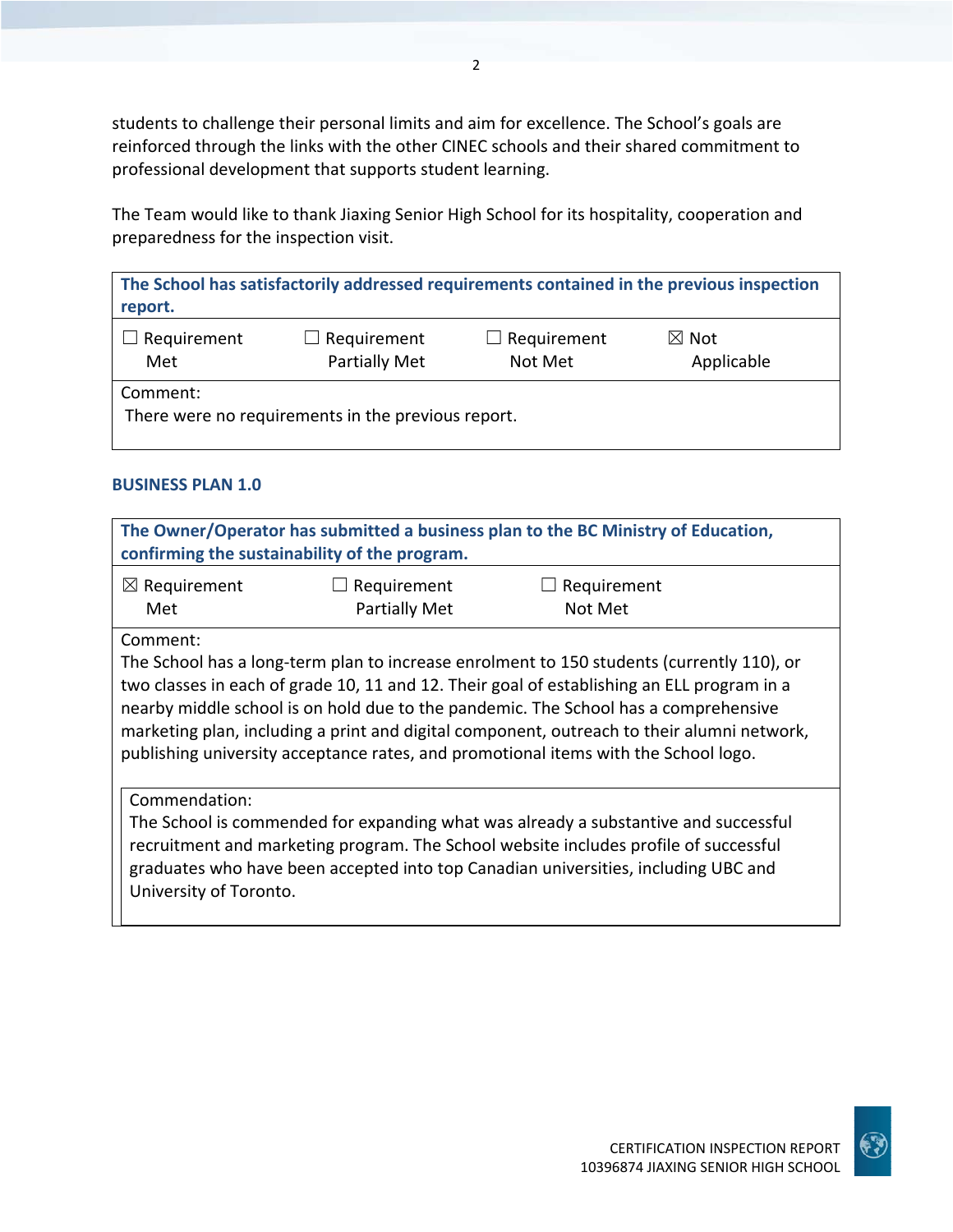students to challenge their personal limits and aim for excellence. The School's goals are reinforced through the links with the other CINEC schools and their shared commitment to professional development that supports student learning.

The Team would like to thank Jiaxing Senior High School for its hospitality, cooperation and preparedness for the inspection visit.

| The School has satisfactorily addressed requirements contained in the previous inspection<br>report. |                                     |                               |                               |
|------------------------------------------------------------------------------------------------------|-------------------------------------|-------------------------------|-------------------------------|
| Requirement<br>Met                                                                                   | $\Box$ Requirement<br>Partially Met | $\Box$ Requirement<br>Not Met | $\boxtimes$ Not<br>Applicable |
| Comment:<br>There were no requirements in the previous report.                                       |                                     |                               |                               |

### **BUSINESS PLAN 1.0**

| The Owner/Operator has submitted a business plan to the BC Ministry of Education,<br>confirming the sustainability of the program. |                       |                                                                                                                                                                                                                                                                                                                                                                                                                                                                     |  |
|------------------------------------------------------------------------------------------------------------------------------------|-----------------------|---------------------------------------------------------------------------------------------------------------------------------------------------------------------------------------------------------------------------------------------------------------------------------------------------------------------------------------------------------------------------------------------------------------------------------------------------------------------|--|
| $\boxtimes$ Requirement                                                                                                            | Requirement<br>$\Box$ | $\Box$ Requirement                                                                                                                                                                                                                                                                                                                                                                                                                                                  |  |
| Met                                                                                                                                | <b>Partially Met</b>  | Not Met                                                                                                                                                                                                                                                                                                                                                                                                                                                             |  |
| Comment:                                                                                                                           |                       |                                                                                                                                                                                                                                                                                                                                                                                                                                                                     |  |
|                                                                                                                                    |                       | The School has a long-term plan to increase enrolment to 150 students (currently 110), or<br>two classes in each of grade 10, 11 and 12. Their goal of establishing an ELL program in a<br>nearby middle school is on hold due to the pandemic. The School has a comprehensive<br>marketing plan, including a print and digital component, outreach to their alumni network,<br>publishing university acceptance rates, and promotional items with the School logo. |  |
| Commendation:<br>University of Toronto.                                                                                            |                       | The School is commended for expanding what was already a substantive and successful<br>recruitment and marketing program. The School website includes profile of successful<br>graduates who have been accepted into top Canadian universities, including UBC and                                                                                                                                                                                                   |  |

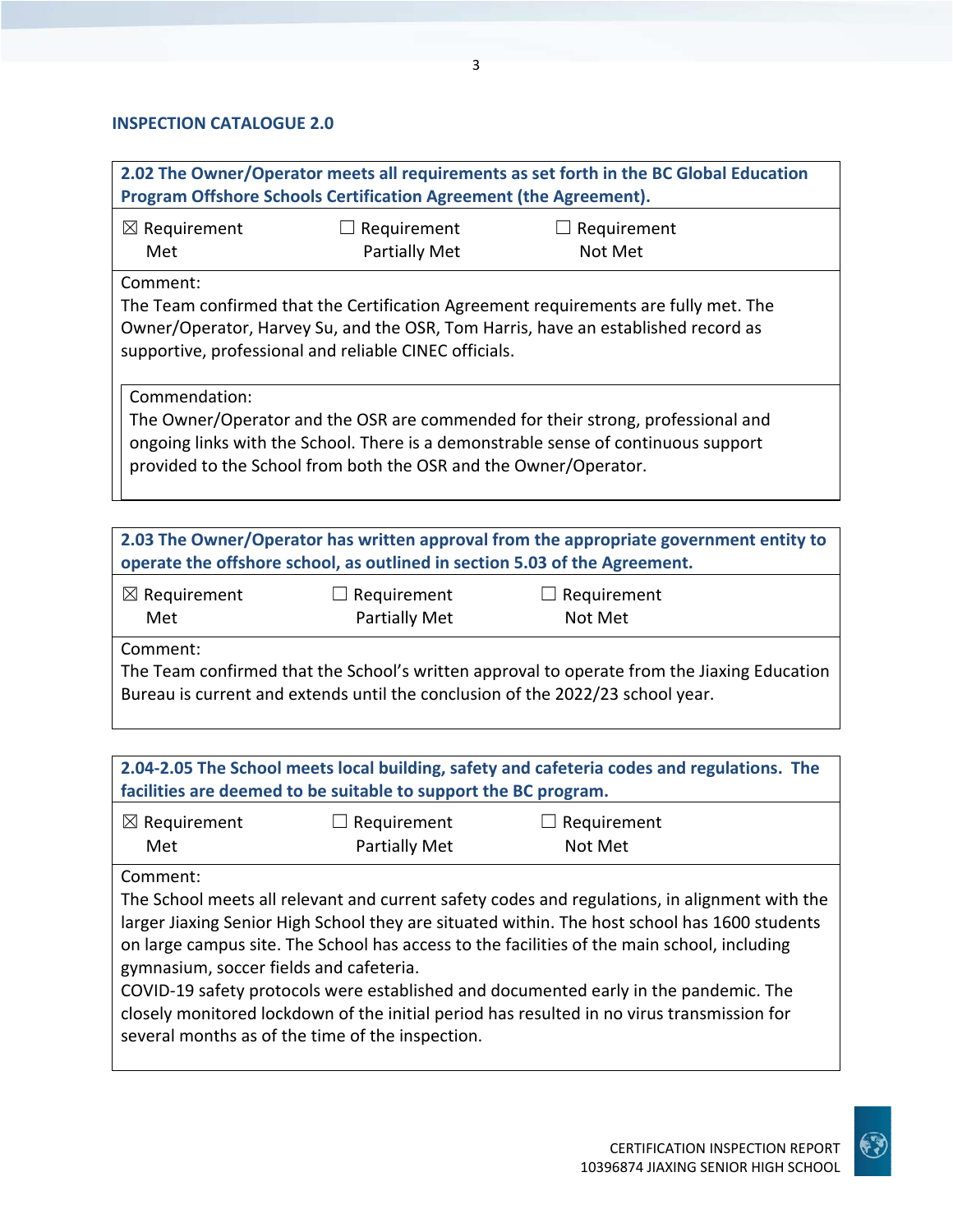### **INSPECTION CATALOGUE 2.0**

| 2.02 The Owner/Operator meets all requirements as set forth in the BC Global Education<br>Program Offshore Schools Certification Agreement (the Agreement).                                                                                                |                                                                            |                                                                                        |  |
|------------------------------------------------------------------------------------------------------------------------------------------------------------------------------------------------------------------------------------------------------------|----------------------------------------------------------------------------|----------------------------------------------------------------------------------------|--|
| $\boxtimes$ Requirement<br>Met                                                                                                                                                                                                                             | $\Box$ Requirement<br><b>Partially Met</b>                                 | $\Box$ Requirement<br>Not Met                                                          |  |
| Comment:<br>The Team confirmed that the Certification Agreement requirements are fully met. The<br>Owner/Operator, Harvey Su, and the OSR, Tom Harris, have an established record as<br>supportive, professional and reliable CINEC officials.             |                                                                            |                                                                                        |  |
| Commendation:<br>The Owner/Operator and the OSR are commended for their strong, professional and<br>ongoing links with the School. There is a demonstrable sense of continuous support<br>provided to the School from both the OSR and the Owner/Operator. |                                                                            |                                                                                        |  |
|                                                                                                                                                                                                                                                            | operate the offshore school, as outlined in section 5.03 of the Agreement. | 2.03 The Owner/Operator has written approval from the appropriate government entity to |  |

| $\boxtimes$ Requirement | $\Box$ Requirement | $\Box$ Requirement |
|-------------------------|--------------------|--------------------|
| Met                     | Partially Met      | Not Met            |

Comment:

The Team confirmed that the School's written approval to operate from the Jiaxing Education Bureau is current and extends until the conclusion of the 2022/23 school year.

| 2.04-2.05 The School meets local building, safety and cafeteria codes and regulations. The<br>facilities are deemed to be suitable to support the BC program. |                                     |                                                                                                                                                                                                |  |
|---------------------------------------------------------------------------------------------------------------------------------------------------------------|-------------------------------------|------------------------------------------------------------------------------------------------------------------------------------------------------------------------------------------------|--|
| $\boxtimes$ Requirement<br>Met                                                                                                                                | $\Box$ Requirement<br>Partially Met | $\Box$ Requirement<br>Not Met                                                                                                                                                                  |  |
| Comment:                                                                                                                                                      |                                     | The School meets all relevant and current safety codes and regulations, in alignment with the<br>larger Jiaxing Senior High School they are situated within. The host school has 1600 students |  |

larger Jiaxing Senior High School they are situated within. The host school has 1600 students on large campus site. The School has access to the facilities of the main school, including gymnasium, soccer fields and cafeteria.

COVID‐19 safety protocols were established and documented early in the pandemic. The closely monitored lockdown of the initial period has resulted in no virus transmission for several months as of the time of the inspection.

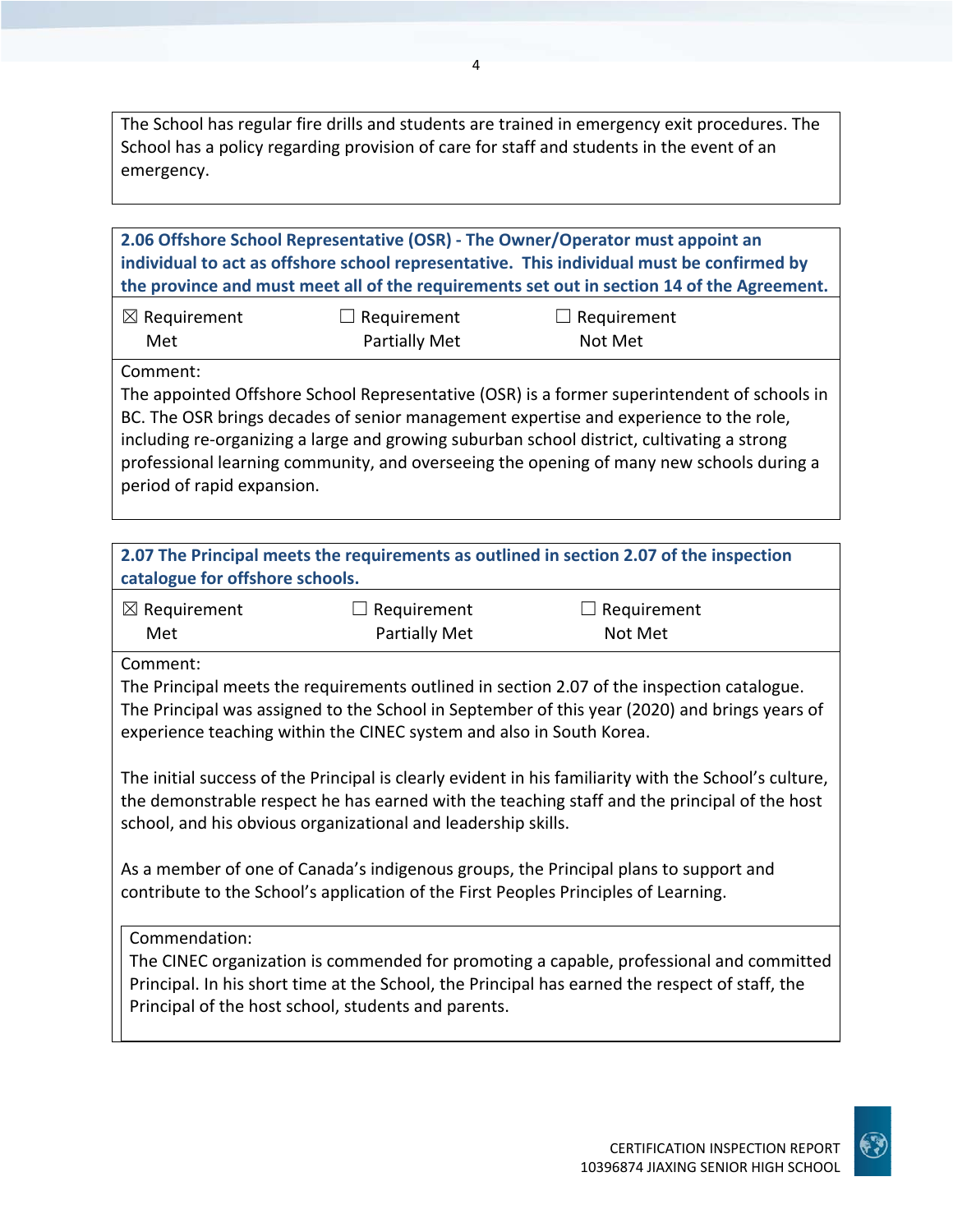The School has regular fire drills and students are trained in emergency exit procedures. The School has a policy regarding provision of care for staff and students in the event of an emergency.

**2.06 Offshore School Representative (OSR) ‐ The Owner/Operator must appoint an individual to act as offshore school representative. This individual must be confirmed by the province and must meet all of the requirements set out in section 14 of the Agreement.**

| $\boxtimes$ Requirement | $\Box$ Requirement   | $\Box$ Requirement |
|-------------------------|----------------------|--------------------|
| Met                     | <b>Partially Met</b> | Not Met            |

Comment:

The appointed Offshore School Representative (OSR) is a former superintendent of schools in BC. The OSR brings decades of senior management expertise and experience to the role, including re‐organizing a large and growing suburban school district, cultivating a strong professional learning community, and overseeing the opening of many new schools during a period of rapid expansion.

| catalogue for offshore schools.                                                                                                                                             |                                                                                                                                       | 2.07 The Principal meets the requirements as outlined in section 2.07 of the inspection                                                                                                                                                                                                                                                                                                              |  |
|-----------------------------------------------------------------------------------------------------------------------------------------------------------------------------|---------------------------------------------------------------------------------------------------------------------------------------|------------------------------------------------------------------------------------------------------------------------------------------------------------------------------------------------------------------------------------------------------------------------------------------------------------------------------------------------------------------------------------------------------|--|
| $\boxtimes$ Requirement<br>Met                                                                                                                                              | Requirement<br><b>Partially Met</b>                                                                                                   | Requirement<br>Not Met                                                                                                                                                                                                                                                                                                                                                                               |  |
| Comment:                                                                                                                                                                    | experience teaching within the CINEC system and also in South Korea.<br>school, and his obvious organizational and leadership skills. | The Principal meets the requirements outlined in section 2.07 of the inspection catalogue.<br>The Principal was assigned to the School in September of this year (2020) and brings years of<br>The initial success of the Principal is clearly evident in his familiarity with the School's culture,<br>the demonstrable respect he has earned with the teaching staff and the principal of the host |  |
| As a member of one of Canada's indigenous groups, the Principal plans to support and<br>contribute to the School's application of the First Peoples Principles of Learning. |                                                                                                                                       |                                                                                                                                                                                                                                                                                                                                                                                                      |  |
| Commendation:                                                                                                                                                               | Principal of the host school, students and parents.                                                                                   | The CINEC organization is commended for promoting a capable, professional and committed<br>Principal. In his short time at the School, the Principal has earned the respect of staff, the                                                                                                                                                                                                            |  |

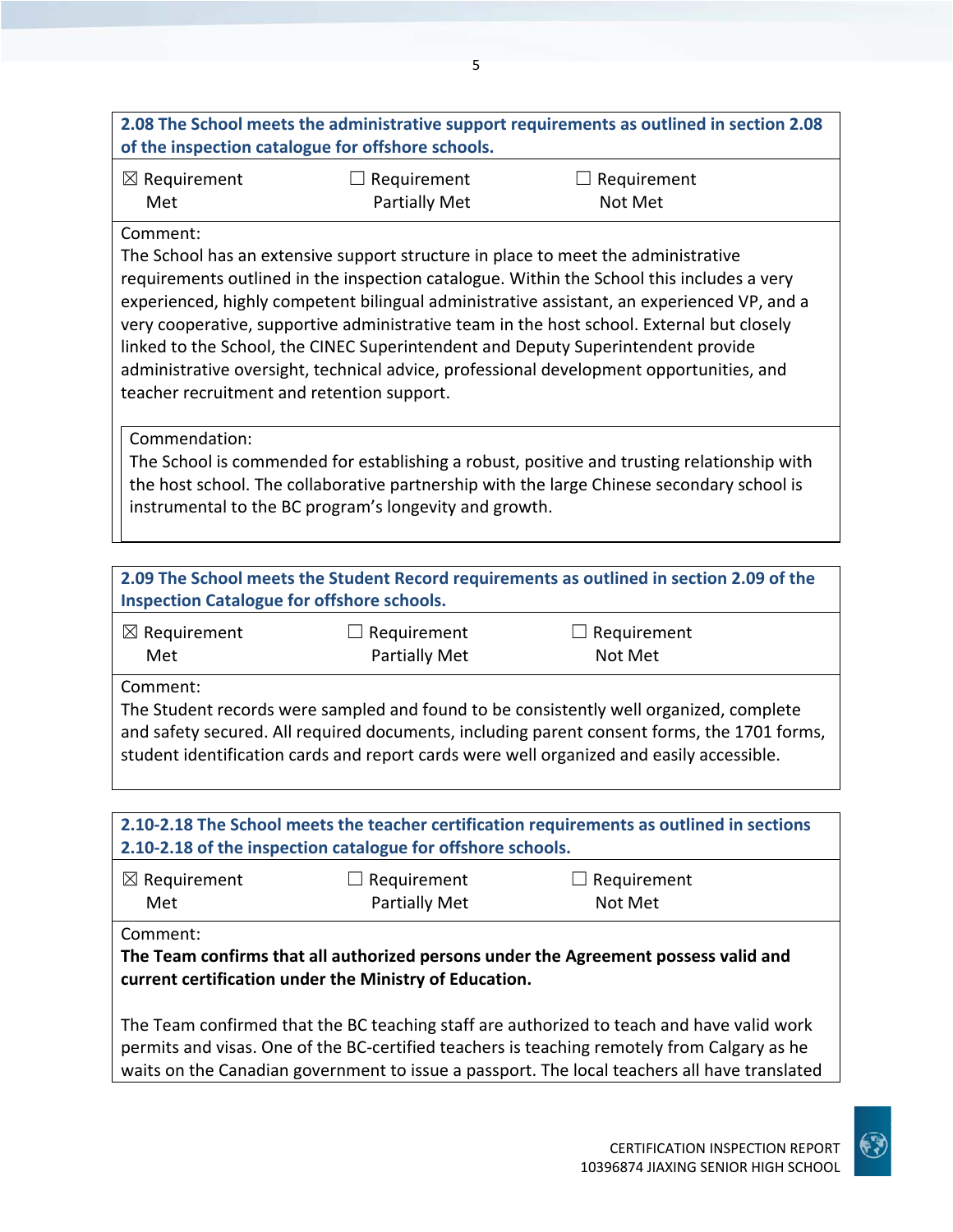## **2.08 The School meets the administrative support requirements as outlined in section 2.08 of the inspection catalogue for offshore schools.**

| $\boxtimes$ Requirement | $\Box$ Requirement | $\Box$ Requirement |
|-------------------------|--------------------|--------------------|
| Met                     | Partially Met      | Not Met            |

### Comment:

The School has an extensive support structure in place to meet the administrative requirements outlined in the inspection catalogue. Within the School this includes a very experienced, highly competent bilingual administrative assistant, an experienced VP, and a very cooperative, supportive administrative team in the host school. External but closely linked to the School, the CINEC Superintendent and Deputy Superintendent provide administrative oversight, technical advice, professional development opportunities, and teacher recruitment and retention support.

Commendation:

The School is commended for establishing a robust, positive and trusting relationship with the host school. The collaborative partnership with the large Chinese secondary school is instrumental to the BC program's longevity and growth.

| 2.09 The School meets the Student Record requirements as outlined in section 2.09 of the<br><b>Inspection Catalogue for offshore schools.</b> |                                     |                                                                                                                                                                                                                                                                                   |  |
|-----------------------------------------------------------------------------------------------------------------------------------------------|-------------------------------------|-----------------------------------------------------------------------------------------------------------------------------------------------------------------------------------------------------------------------------------------------------------------------------------|--|
| $\boxtimes$ Requirement<br>Met                                                                                                                | Requirement<br><b>Partially Met</b> | $\Box$ Requirement<br>Not Met                                                                                                                                                                                                                                                     |  |
| Comment:                                                                                                                                      |                                     | The Student records were sampled and found to be consistently well organized, complete<br>and safety secured. All required documents, including parent consent forms, the 1701 forms,<br>student identification cards and report cards were well organized and easily accessible. |  |

# **2.10‐2.18 The School meets the teacher certification requirements as outlined in sections 2.10‐2.18 of the inspection catalogue for offshore schools.**

| $\boxtimes$ Requirement | $\Box$ Requirement   | $\Box$ Requirement |
|-------------------------|----------------------|--------------------|
| Met                     | <b>Partially Met</b> | Not Met            |

Comment:

**The Team confirms that all authorized persons under the Agreement possess valid and current certification under the Ministry of Education.**

The Team confirmed that the BC teaching staff are authorized to teach and have valid work permits and visas. One of the BC‐certified teachers is teaching remotely from Calgary as he waits on the Canadian government to issue a passport. The local teachers all have translated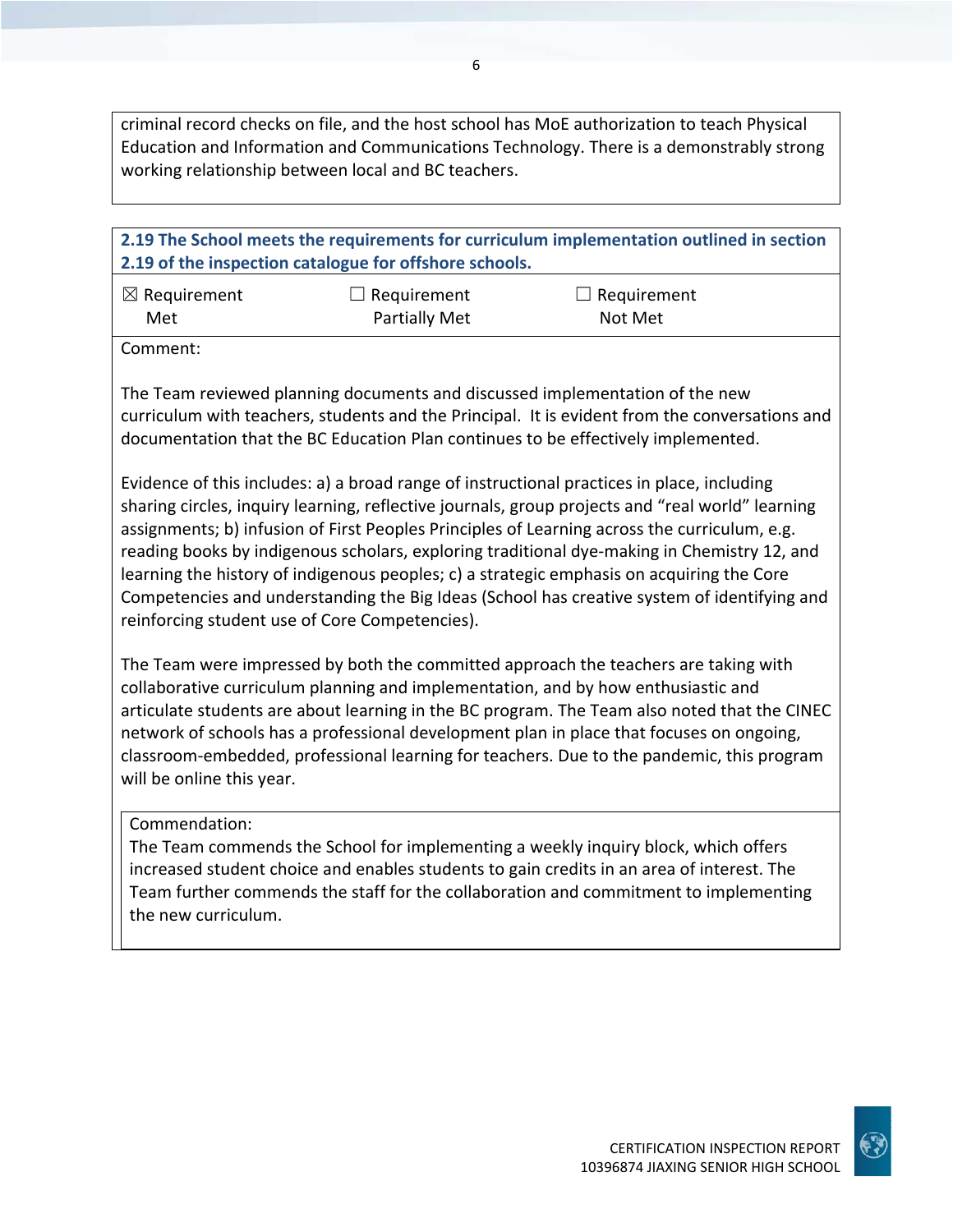criminal record checks on file, and the host school has MoE authorization to teach Physical Education and Information and Communications Technology. There is a demonstrably strong working relationship between local and BC teachers.

**2.19 The School meets the requirements for curriculum implementation outlined in section 2.19 of the inspection catalogue for offshore schools.** ☒ Requirement Met  $\Box$  Requirement Partially Met  $\Box$  Requirement Not Met Comment: The Team reviewed planning documents and discussed implementation of the new curriculum with teachers, students and the Principal. It is evident from the conversations and documentation that the BC Education Plan continues to be effectively implemented. Evidence of this includes: a) a broad range of instructional practices in place, including sharing circles, inquiry learning, reflective journals, group projects and "real world" learning assignments; b) infusion of First Peoples Principles of Learning across the curriculum, e.g. reading books by indigenous scholars, exploring traditional dye-making in Chemistry 12, and

Competencies and understanding the Big Ideas (School has creative system of identifying and reinforcing student use of Core Competencies).

The Team were impressed by both the committed approach the teachers are taking with collaborative curriculum planning and implementation, and by how enthusiastic and articulate students are about learning in the BC program. The Team also noted that the CINEC network of schools has a professional development plan in place that focuses on ongoing, classroom‐embedded, professional learning for teachers. Due to the pandemic, this program will be online this year.

learning the history of indigenous peoples; c) a strategic emphasis on acquiring the Core

### Commendation:

The Team commends the School for implementing a weekly inquiry block, which offers increased student choice and enables students to gain credits in an area of interest. The Team further commends the staff for the collaboration and commitment to implementing the new curriculum.

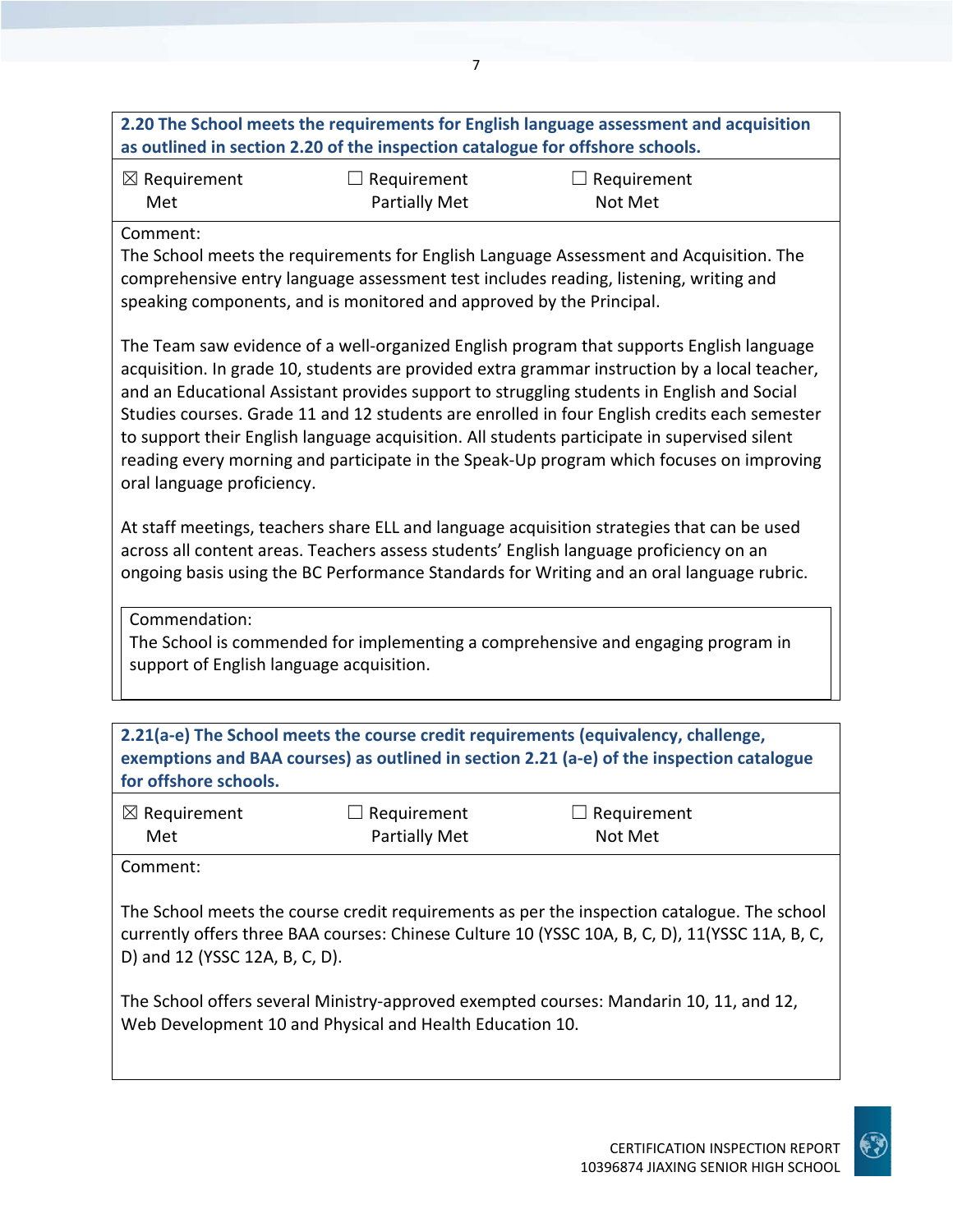# **2.20 The School meets the requirements for English language assessment and acquisition as outlined in section 2.20 of the inspection catalogue for offshore schools.**

| $\boxtimes$ Requirement | $\Box$ Requirement | $\Box$ Requirement |
|-------------------------|--------------------|--------------------|
| Met                     | Partially Met      | Not Met            |

### Comment:

The School meets the requirements for English Language Assessment and Acquisition. The comprehensive entry language assessment test includes reading, listening, writing and speaking components, and is monitored and approved by the Principal.

The Team saw evidence of a well‐organized English program that supports English language acquisition. In grade 10, students are provided extra grammar instruction by a local teacher, and an Educational Assistant provides support to struggling students in English and Social Studies courses. Grade 11 and 12 students are enrolled in four English credits each semester to support their English language acquisition. All students participate in supervised silent reading every morning and participate in the Speak‐Up program which focuses on improving oral language proficiency.

At staff meetings, teachers share ELL and language acquisition strategies that can be used across all content areas. Teachers assess students' English language proficiency on an ongoing basis using the BC Performance Standards for Writing and an oral language rubric.

Commendation:

The School is commended for implementing a comprehensive and engaging program in support of English language acquisition.

| for offshore schools.                      |                                                          | 2.21(a-e) The School meets the course credit requirements (equivalency, challenge,<br>exemptions and BAA courses) as outlined in section 2.21 (a-e) of the inspection catalogue                                                                                                         |  |
|--------------------------------------------|----------------------------------------------------------|-----------------------------------------------------------------------------------------------------------------------------------------------------------------------------------------------------------------------------------------------------------------------------------------|--|
| $\boxtimes$ Requirement<br>Met             | Requirement<br>Partially Met                             | $\Box$ Requirement<br>Not Met                                                                                                                                                                                                                                                           |  |
| Comment:<br>D) and 12 (YSSC 12A, B, C, D). | Web Development 10 and Physical and Health Education 10. | The School meets the course credit requirements as per the inspection catalogue. The school<br>currently offers three BAA courses: Chinese Culture 10 (YSSC 10A, B, C, D), 11(YSSC 11A, B, C,<br>The School offers several Ministry-approved exempted courses: Mandarin 10, 11, and 12, |  |

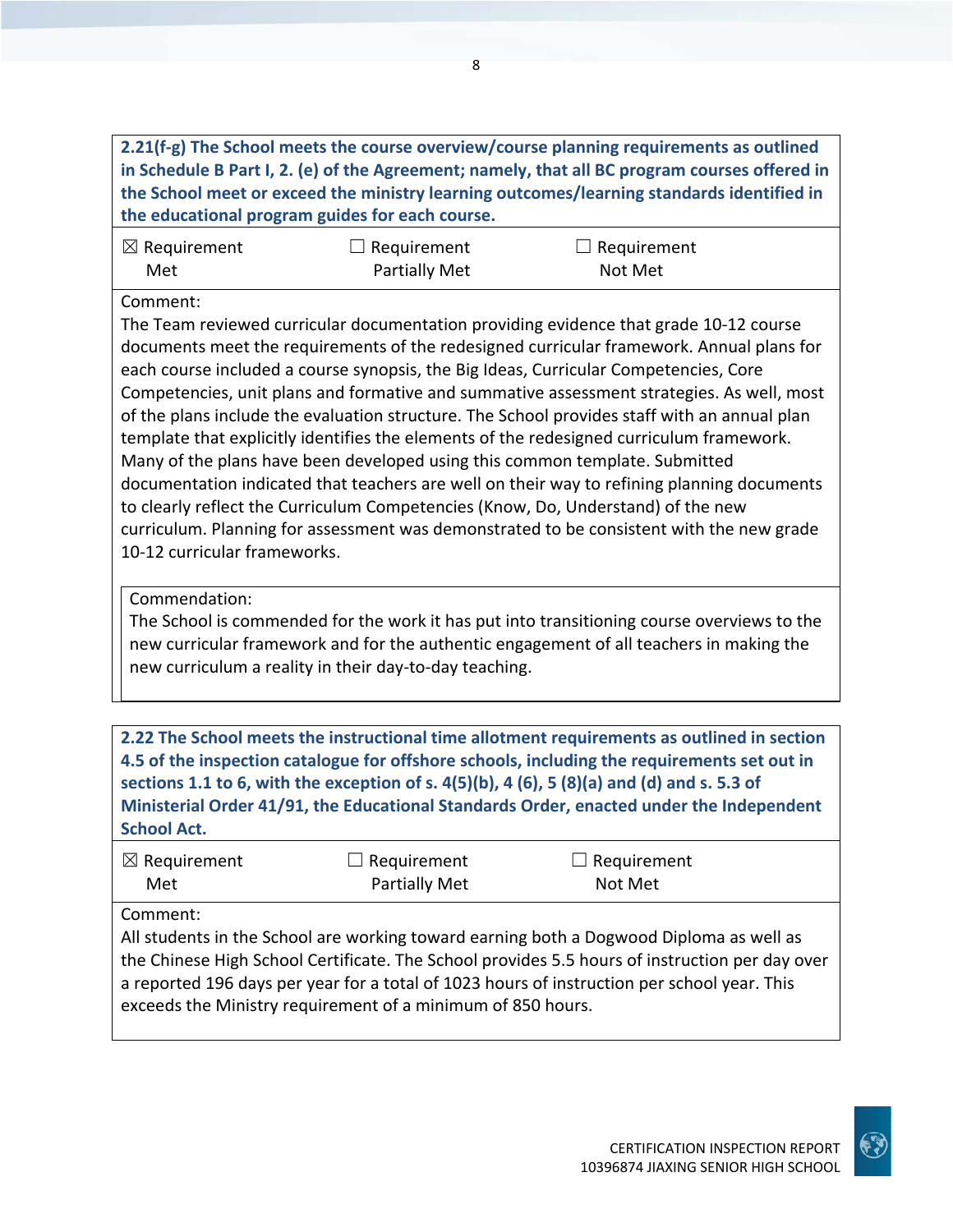**2.21(f‐g) The School meets the course overview/course planning requirements as outlined in Schedule B Part I, 2. (e) of the Agreement; namely, that all BC program courses offered in the School meet or exceed the ministry learning outcomes/learning standards identified in the educational program guides for each course.**

| $\boxtimes$ Requirement | $\Box$ Requirement | $\Box$ Requirement |
|-------------------------|--------------------|--------------------|
| Met                     | Partially Met      | Not Met            |

Comment:

The Team reviewed curricular documentation providing evidence that grade 10‐12 course documents meet the requirements of the redesigned curricular framework. Annual plans for each course included a course synopsis, the Big Ideas, Curricular Competencies, Core Competencies, unit plans and formative and summative assessment strategies. As well, most of the plans include the evaluation structure. The School provides staff with an annual plan template that explicitly identifies the elements of the redesigned curriculum framework. Many of the plans have been developed using this common template. Submitted documentation indicated that teachers are well on their way to refining planning documents to clearly reflect the Curriculum Competencies (Know, Do, Understand) of the new curriculum. Planning for assessment was demonstrated to be consistent with the new grade 10‐12 curricular frameworks.

Commendation:

The School is commended for the work it has put into transitioning course overviews to the new curricular framework and for the authentic engagement of all teachers in making the new curriculum a reality in their day‐to‐day teaching.

**2.22 The School meets the instructional time allotment requirements as outlined in section 4.5 of the inspection catalogue for offshore schools, including the requirements set out in** sections 1.1 to 6, with the exception of s.  $4(5)(b)$ ,  $4(6)$ ,  $5(8)(a)$  and (d) and s. 5.3 of **Ministerial Order 41/91, the Educational Standards Order, enacted under the Independent School Act.**

| $\boxtimes$ Requirement | $\Box$ Requirement   | $\Box$ Requirement |  |
|-------------------------|----------------------|--------------------|--|
| Met                     | <b>Partially Met</b> | Not Met            |  |

Comment:

All students in the School are working toward earning both a Dogwood Diploma as well as the Chinese High School Certificate. The School provides 5.5 hours of instruction per day over a reported 196 days per year for a total of 1023 hours of instruction per school year. This exceeds the Ministry requirement of a minimum of 850 hours.

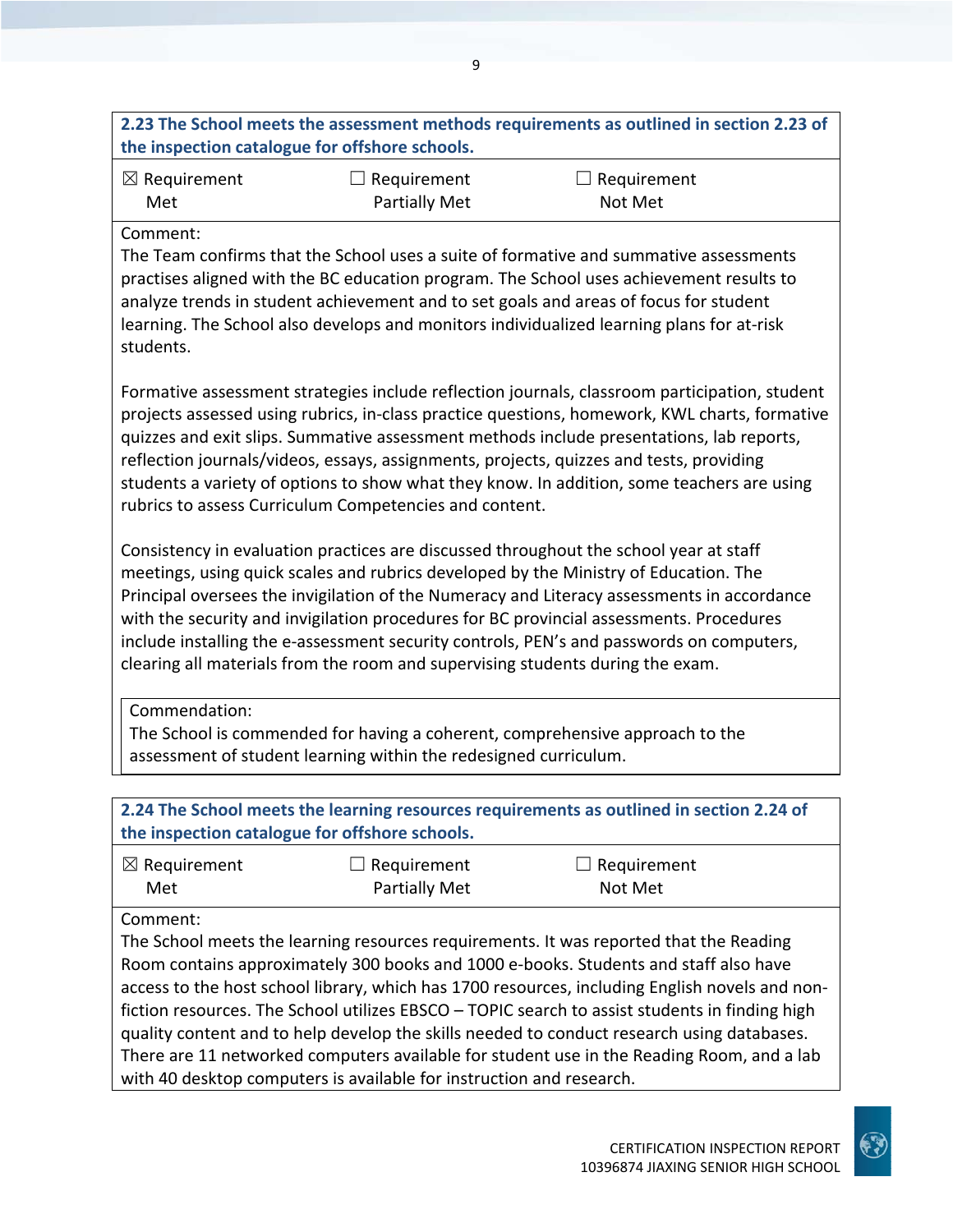# **2.23 The School meets the assessment methods requirements as outlined in section 2.23 of the inspection catalogue for offshore schools.**

| $\boxtimes$ Requirement | $\Box$ Requirement   | $\Box$ Requirement |
|-------------------------|----------------------|--------------------|
| Met                     | <b>Partially Met</b> | Not Met            |

### Comment:

The Team confirms that the School uses a suite of formative and summative assessments practises aligned with the BC education program. The School uses achievement results to analyze trends in student achievement and to set goals and areas of focus for student learning. The School also develops and monitors individualized learning plans for at-risk students.

Formative assessment strategies include reflection journals, classroom participation, student projects assessed using rubrics, in‐class practice questions, homework, KWL charts, formative quizzes and exit slips. Summative assessment methods include presentations, lab reports, reflection journals/videos, essays, assignments, projects, quizzes and tests, providing students a variety of options to show what they know. In addition, some teachers are using rubrics to assess Curriculum Competencies and content.

Consistency in evaluation practices are discussed throughout the school year at staff meetings, using quick scales and rubrics developed by the Ministry of Education. The Principal oversees the invigilation of the Numeracy and Literacy assessments in accordance with the security and invigilation procedures for BC provincial assessments. Procedures include installing the e-assessment security controls, PEN's and passwords on computers, clearing all materials from the room and supervising students during the exam.

Commendation:

The School is commended for having a coherent, comprehensive approach to the assessment of student learning within the redesigned curriculum.

**2.24 The School meets the learning resources requirements as outlined in section 2.24 of the inspection catalogue for offshore schools.**

| $\boxtimes$ Requirement | $\Box$ Requirement   | $\Box$ Requirement |  |
|-------------------------|----------------------|--------------------|--|
| Met                     | <b>Partially Met</b> | Not Met            |  |

Comment:

The School meets the learning resources requirements. It was reported that the Reading Room contains approximately 300 books and 1000 e‐books. Students and staff also have access to the host school library, which has 1700 resources, including English novels and non‐ fiction resources. The School utilizes EBSCO – TOPIC search to assist students in finding high quality content and to help develop the skills needed to conduct research using databases. There are 11 networked computers available for student use in the Reading Room, and a lab with 40 desktop computers is available for instruction and research.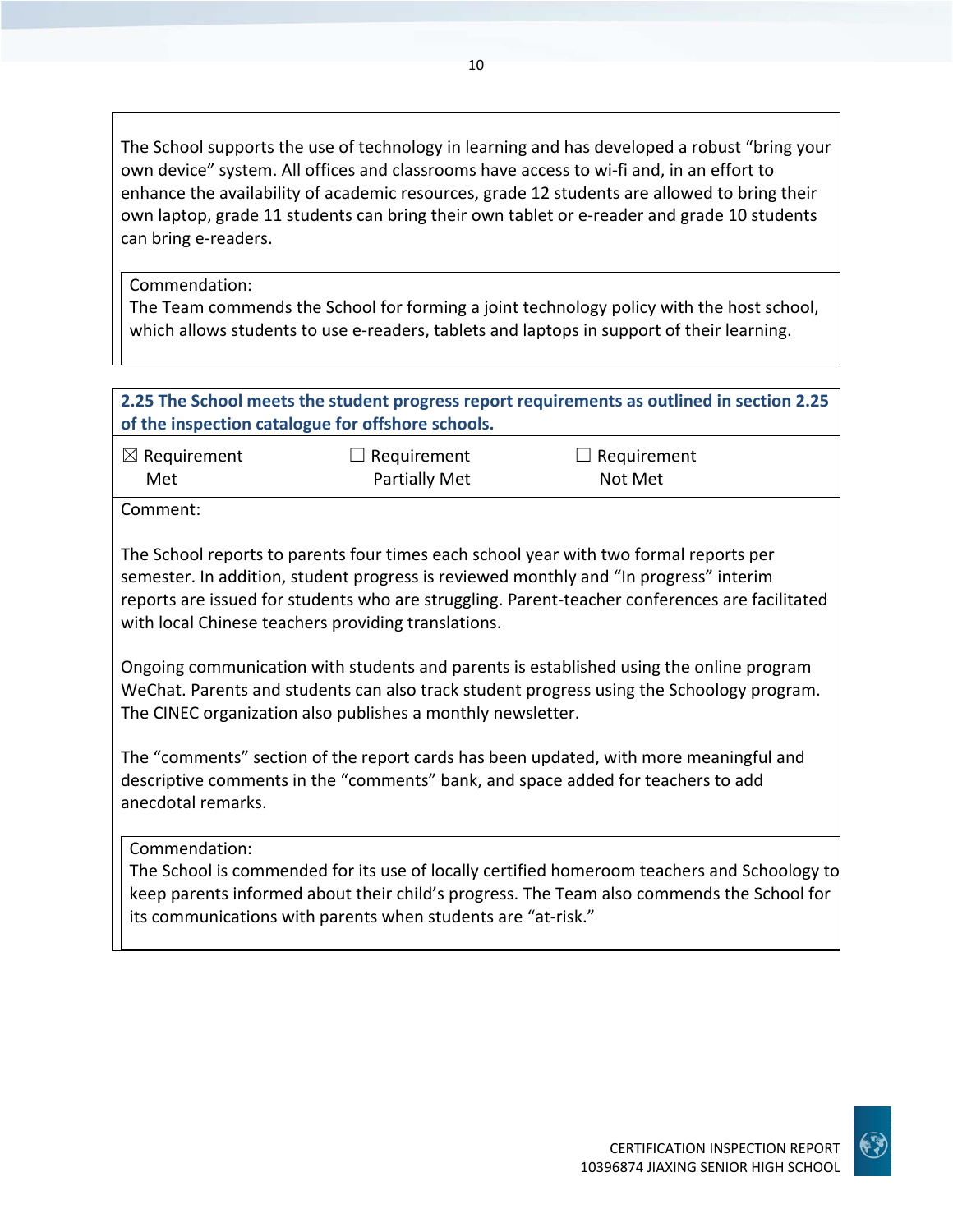The School supports the use of technology in learning and has developed a robust "bring your own device" system. All offices and classrooms have access to wi‐fi and, in an effort to enhance the availability of academic resources, grade 12 students are allowed to bring their own laptop, grade 11 students can bring their own tablet or e‐reader and grade 10 students can bring e‐readers.

Commendation:

The Team commends the School for forming a joint technology policy with the host school, which allows students to use e-readers, tablets and laptops in support of their learning.

## **2.25 The School meets the student progress report requirements as outlined in section 2.25 of the inspection catalogue for offshore schools.**

| $\boxtimes$ Requirement | $\Box$ Requirement | $\Box$ Requirement |  |
|-------------------------|--------------------|--------------------|--|
| Met                     | Partially Met      | Not Met            |  |

Comment:

The School reports to parents four times each school year with two formal reports per semester. In addition, student progress is reviewed monthly and "In progress" interim reports are issued for students who are struggling. Parent‐teacher conferences are facilitated with local Chinese teachers providing translations.

Ongoing communication with students and parents is established using the online program WeChat. Parents and students can also track student progress using the Schoology program. The CINEC organization also publishes a monthly newsletter.

The "comments" section of the report cards has been updated, with more meaningful and descriptive comments in the "comments" bank, and space added for teachers to add anecdotal remarks.

Commendation:

The School is commended for its use of locally certified homeroom teachers and Schoology to keep parents informed about their child's progress. The Team also commends the School for its communications with parents when students are "at‐risk."

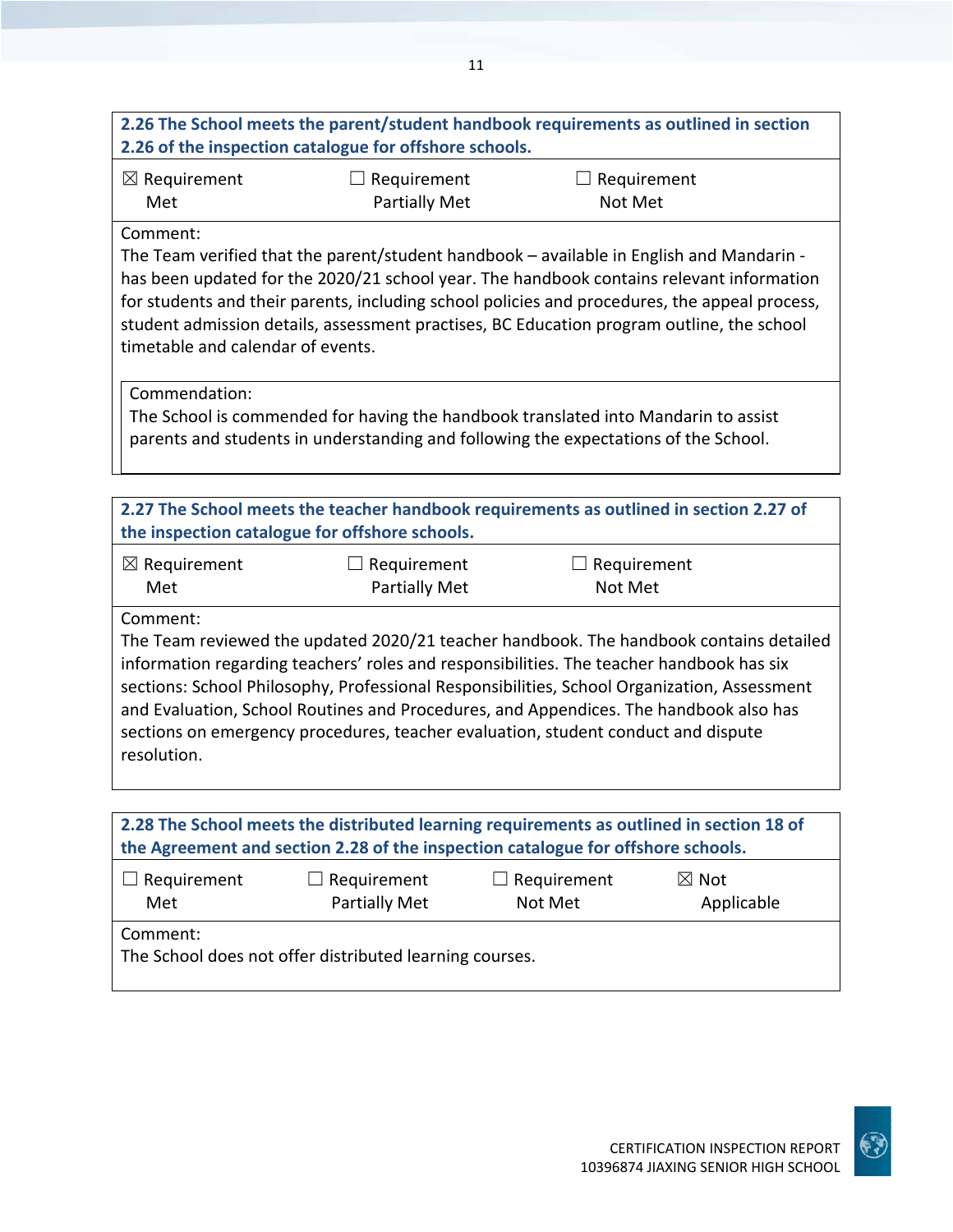| $\boxtimes$ Requirement<br>Met                                                                                                                                                                                                                                                                                                                                                                   | $\Box$ Requirement<br><b>Partially Met</b> | $\Box$ Requirement<br>Not Met                                                                                                                                             |                                                                                                                                                                                           |
|--------------------------------------------------------------------------------------------------------------------------------------------------------------------------------------------------------------------------------------------------------------------------------------------------------------------------------------------------------------------------------------------------|--------------------------------------------|---------------------------------------------------------------------------------------------------------------------------------------------------------------------------|-------------------------------------------------------------------------------------------------------------------------------------------------------------------------------------------|
| Comment:<br>The Team verified that the parent/student handbook - available in English and Mandarin -<br>student admission details, assessment practises, BC Education program outline, the school<br>timetable and calendar of events.                                                                                                                                                           |                                            |                                                                                                                                                                           | has been updated for the 2020/21 school year. The handbook contains relevant information<br>for students and their parents, including school policies and procedures, the appeal process, |
| Commendation:                                                                                                                                                                                                                                                                                                                                                                                    |                                            | The School is commended for having the handbook translated into Mandarin to assist<br>parents and students in understanding and following the expectations of the School. |                                                                                                                                                                                           |
| 2.27 The School meets the teacher handbook requirements as outlined in section 2.27 of<br>the inspection catalogue for offshore schools.                                                                                                                                                                                                                                                         |                                            |                                                                                                                                                                           |                                                                                                                                                                                           |
| $\boxtimes$ Requirement<br>Met                                                                                                                                                                                                                                                                                                                                                                   | $\Box$ Requirement<br><b>Partially Met</b> | Requirement<br>Not Met                                                                                                                                                    |                                                                                                                                                                                           |
| Comment:<br>information regarding teachers' roles and responsibilities. The teacher handbook has six<br>sections: School Philosophy, Professional Responsibilities, School Organization, Assessment<br>and Evaluation, School Routines and Procedures, and Appendices. The handbook also has<br>sections on emergency procedures, teacher evaluation, student conduct and dispute<br>resolution. |                                            |                                                                                                                                                                           | The Team reviewed the updated 2020/21 teacher handbook. The handbook contains detailed                                                                                                    |
| 2.28 The School meets the distributed learning requirements as outlined in section 18 of<br>the Agreement and section 2.28 of the inspection catalogue for offshore schools.                                                                                                                                                                                                                     |                                            |                                                                                                                                                                           |                                                                                                                                                                                           |
| $\Box$ Requirement<br>Met                                                                                                                                                                                                                                                                                                                                                                        | Requirement<br><b>Partially Met</b>        | Requirement<br>Not Met                                                                                                                                                    | $\boxtimes$ Not<br>Applicable                                                                                                                                                             |
| Comment:                                                                                                                                                                                                                                                                                                                                                                                         |                                            |                                                                                                                                                                           |                                                                                                                                                                                           |

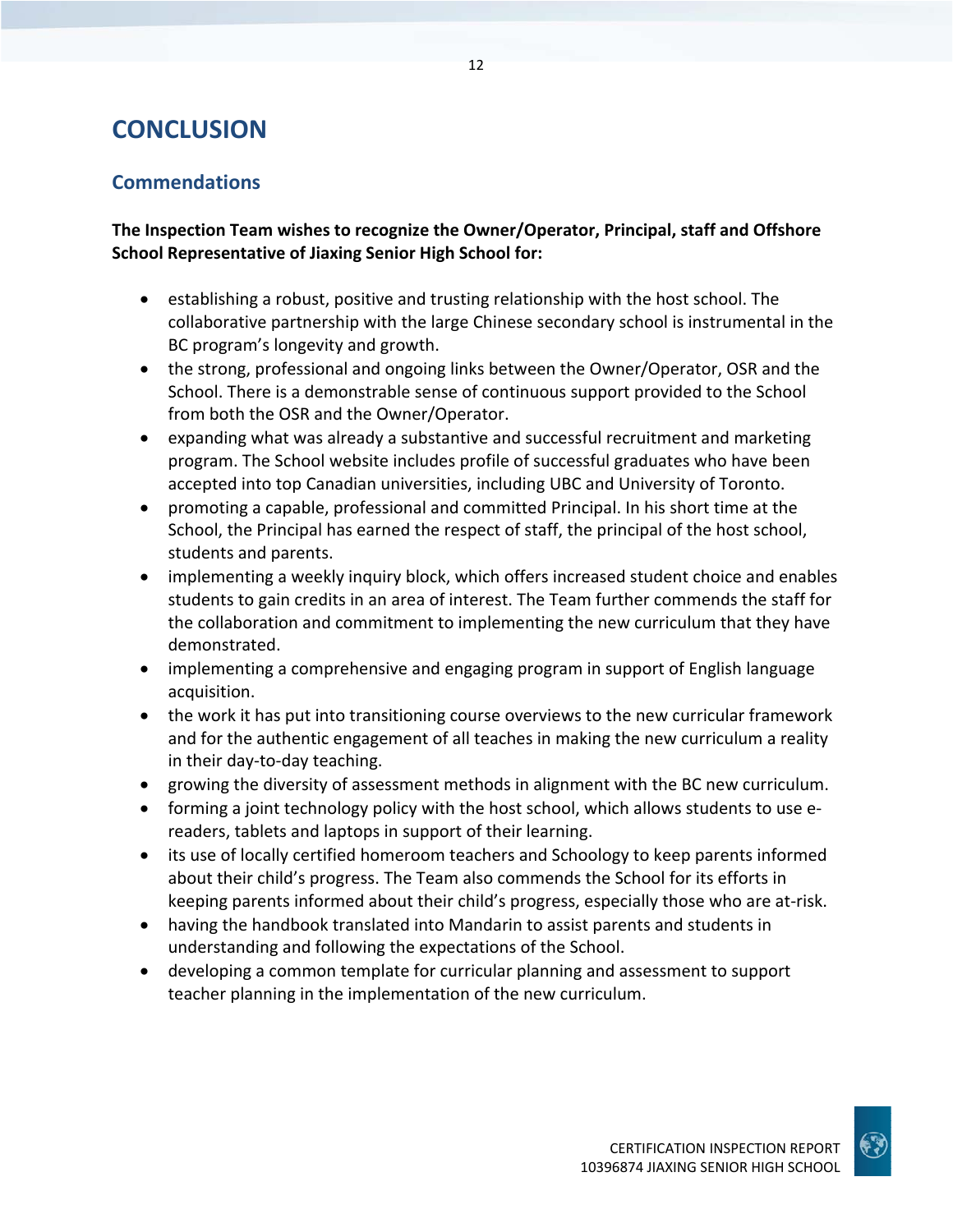# **CONCLUSION**

# **Commendations**

**The Inspection Team wishes to recognize the Owner/Operator, Principal, staff and Offshore School Representative of Jiaxing Senior High School for:**

- establishing a robust, positive and trusting relationship with the host school. The collaborative partnership with the large Chinese secondary school is instrumental in the BC program's longevity and growth.
- the strong, professional and ongoing links between the Owner/Operator, OSR and the School. There is a demonstrable sense of continuous support provided to the School from both the OSR and the Owner/Operator.
- expanding what was already a substantive and successful recruitment and marketing program. The School website includes profile of successful graduates who have been accepted into top Canadian universities, including UBC and University of Toronto.
- promoting a capable, professional and committed Principal. In his short time at the School, the Principal has earned the respect of staff, the principal of the host school, students and parents.
- implementing a weekly inquiry block, which offers increased student choice and enables students to gain credits in an area of interest. The Team further commends the staff for the collaboration and commitment to implementing the new curriculum that they have demonstrated.
- implementing a comprehensive and engaging program in support of English language acquisition.
- the work it has put into transitioning course overviews to the new curricular framework and for the authentic engagement of all teaches in making the new curriculum a reality in their day‐to‐day teaching.
- growing the diversity of assessment methods in alignment with the BC new curriculum.
- forming a joint technology policy with the host school, which allows students to use ereaders, tablets and laptops in support of their learning.
- its use of locally certified homeroom teachers and Schoology to keep parents informed about their child's progress. The Team also commends the School for its efforts in keeping parents informed about their child's progress, especially those who are at‐risk.
- having the handbook translated into Mandarin to assist parents and students in understanding and following the expectations of the School.
- developing a common template for curricular planning and assessment to support teacher planning in the implementation of the new curriculum.